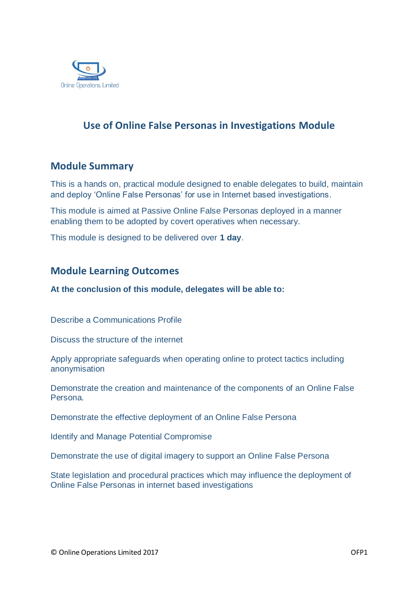

# **Use of Online False Personas in Investigations Module**

## **Module Summary**

This is a hands on, practical module designed to enable delegates to build, maintain and deploy 'Online False Personas' for use in Internet based investigations.

This module is aimed at Passive Online False Personas deployed in a manner enabling them to be adopted by covert operatives when necessary.

This module is designed to be delivered over **1 day**.

## **Module Learning Outcomes**

**At the conclusion of this module, delegates will be able to:**

Describe a Communications Profile

Discuss the structure of the internet

Apply appropriate safeguards when operating online to protect tactics including anonymisation

Demonstrate the creation and maintenance of the components of an Online False Persona.

Demonstrate the effective deployment of an Online False Persona

Identify and Manage Potential Compromise

Demonstrate the use of digital imagery to support an Online False Persona

State legislation and procedural practices which may influence the deployment of Online False Personas in internet based investigations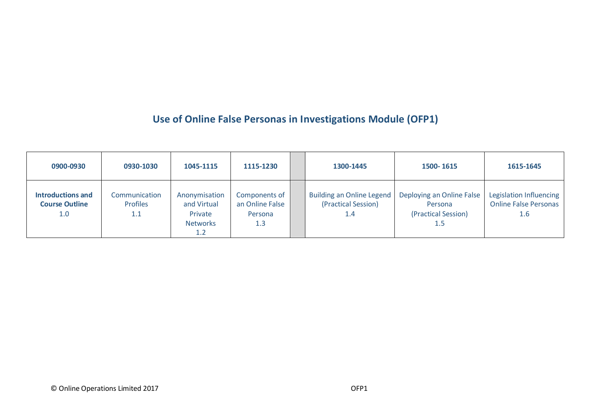# **Use of Online False Personas in Investigations Module (OFP1)**

| 0900-0930                                                | 0930-1030                               | 1045-1115                                                         | 1115-1230                                          | 1300-1445                                                      | 1500-1615                                                          | 1615-1645                                               |
|----------------------------------------------------------|-----------------------------------------|-------------------------------------------------------------------|----------------------------------------------------|----------------------------------------------------------------|--------------------------------------------------------------------|---------------------------------------------------------|
| <b>Introductions and</b><br><b>Course Outline</b><br>1.0 | Communication<br><b>Profiles</b><br>1.1 | Anonymisation<br>and Virtual<br>Private<br><b>Networks</b><br>1.2 | Components of<br>an Online False<br>Persona<br>1.3 | <b>Building an Online Legend</b><br>(Practical Session)<br>1.4 | Deploying an Online False<br>Persona<br>(Practical Session)<br>1.5 | Legislation Influencing<br>Online False Personas<br>1.6 |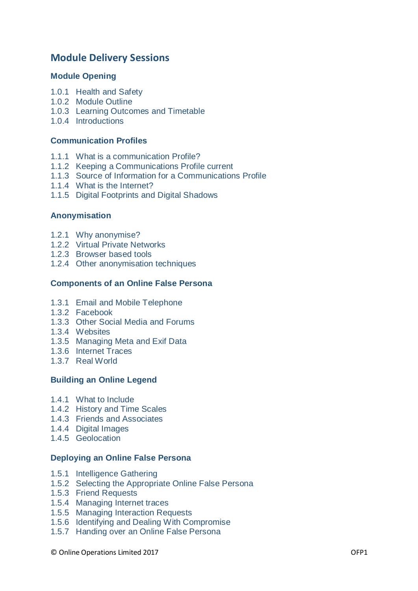## **Module Delivery Sessions**

#### **Module Opening**

- 1.0.1 Health and Safety
- 1.0.2 Module Outline
- 1.0.3 Learning Outcomes and Timetable
- 1.0.4 Introductions

#### **Communication Profiles**

- 1.1.1 What is a communication Profile?
- 1.1.2 Keeping a Communications Profile current
- 1.1.3 Source of Information for a Communications Profile
- 1.1.4 What is the Internet?
- 1.1.5 Digital Footprints and Digital Shadows

#### **Anonymisation**

- 1.2.1 Why anonymise?
- 1.2.2 Virtual Private Networks
- 1.2.3 Browser based tools
- 1.2.4 Other anonymisation techniques

#### **Components of an Online False Persona**

- 1.3.1 Email and Mobile Telephone
- 1.3.2 Facebook
- 1.3.3 Other Social Media and Forums
- 1.3.4 Websites
- 1.3.5 Managing Meta and Exif Data
- 1.3.6 Internet Traces
- 1.3.7 Real World

#### **Building an Online Legend**

- 1.4.1 What to Include
- 1.4.2 History and Time Scales
- 1.4.3 Friends and Associates
- 1.4.4 Digital Images
- 1.4.5 Geolocation

#### **Deploying an Online False Persona**

- 1.5.1 Intelligence Gathering
- 1.5.2 Selecting the Appropriate Online False Persona
- 1.5.3 Friend Requests
- 1.5.4 Managing Internet traces
- 1.5.5 Managing Interaction Requests
- 1.5.6 Identifying and Dealing With Compromise
- 1.5.7 Handing over an Online False Persona